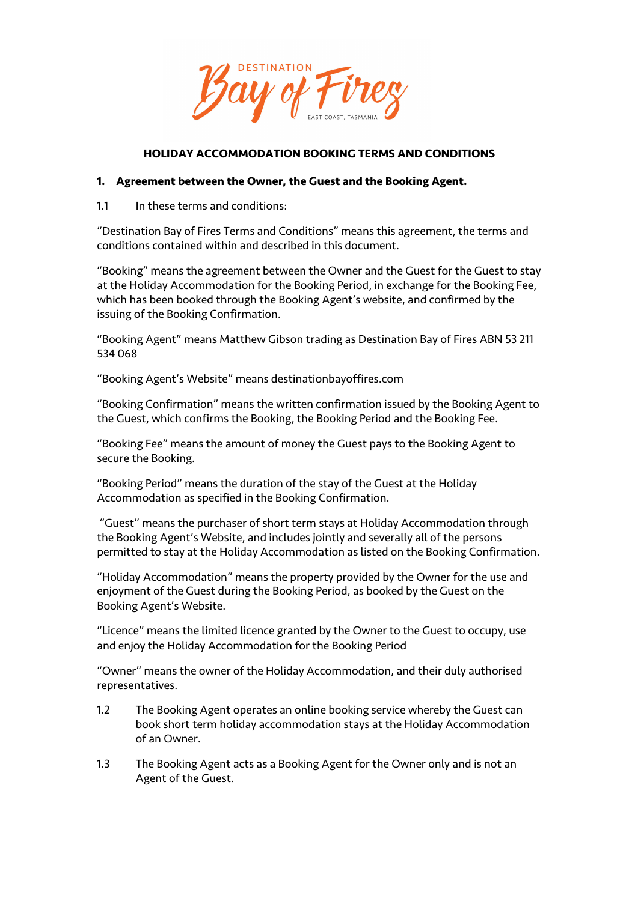

### **HOLIDAY ACCOMMODATION BOOKING TERMS AND CONDITIONS**

#### **1. Agreement between the Owner, the Guest and the Booking Agent.**

1.1 In these terms and conditions:

"Destination Bay of Fires Terms and Conditions" means this agreement, the terms and conditions contained within and described in this document.

"Booking" means the agreement between the Owner and the Guest for the Guest to stay at the Holiday Accommodation for the Booking Period, in exchange for the Booking Fee, which has been booked through the Booking Agent's website, and confirmed by the issuing of the Booking Confirmation.

"Booking Agent" means Matthew Gibson trading as Destination Bay of Fires ABN 53 211 534 068

"Booking Agent's Website" means destinationbayoffires.com

"Booking Confirmation" means the written confirmation issued by the Booking Agent to the Guest, which confirms the Booking, the Booking Period and the Booking Fee.

"Booking Fee" means the amount of money the Guest pays to the Booking Agent to secure the Booking.

"Booking Period" means the duration of the stay of the Guest at the Holiday Accommodation as specified in the Booking Confirmation.

"Guest" means the purchaser of short term stays at Holiday Accommodation through the Booking Agent's Website, and includes jointly and severally all of the persons permitted to stay at the Holiday Accommodation as listed on the Booking Confirmation.

"Holiday Accommodation" means the property provided by the Owner for the use and enjoyment of the Guest during the Booking Period, as booked by the Guest on the Booking Agent's Website.

"Licence" means the limited licence granted by the Owner to the Guest to occupy, use and enjoy the Holiday Accommodation for the Booking Period

"Owner" means the owner of the Holiday Accommodation, and their duly authorised representatives.

- 1.2 The Booking Agent operates an online booking service whereby the Guest can book short term holiday accommodation stays at the Holiday Accommodation of an Owner.
- 1.3 The Booking Agent acts as a Booking Agent for the Owner only and is not an Agent of the Guest.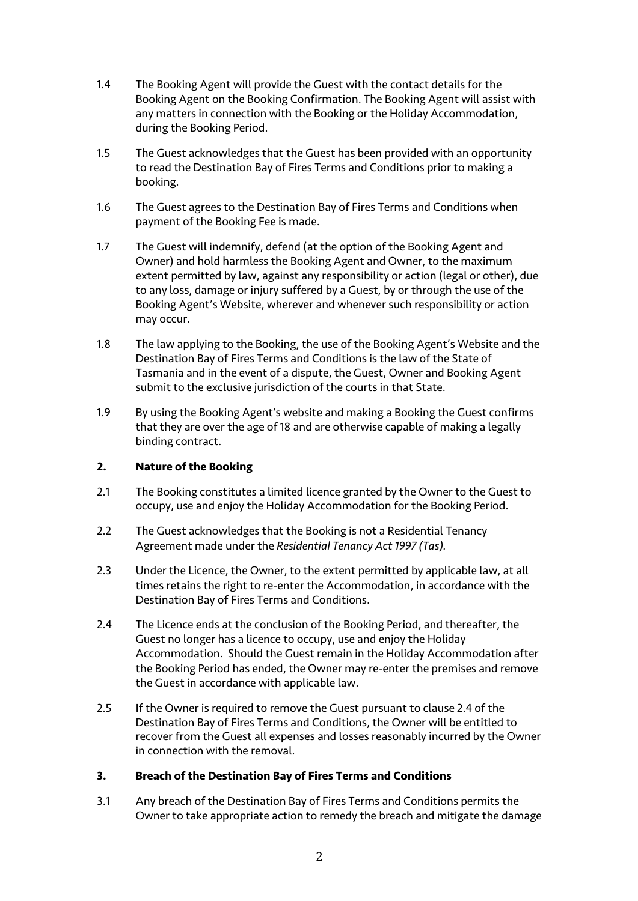- 1.4 The Booking Agent will provide the Guest with the contact details for the Booking Agent on the Booking Confirmation. The Booking Agent will assist with any matters in connection with the Booking or the Holiday Accommodation, during the Booking Period.
- 1.5 The Guest acknowledges that the Guest has been provided with an opportunity to read the Destination Bay of Fires Terms and Conditions prior to making a booking.
- 1.6 The Guest agrees to the Destination Bay of Fires Terms and Conditions when payment of the Booking Fee is made.
- 1.7 The Guest will indemnify, defend (at the option of the Booking Agent and Owner) and hold harmless the Booking Agent and Owner, to the maximum extent permitted by law, against any responsibility or action (legal or other), due to any loss, damage or injury suffered by a Guest, by or through the use of the Booking Agent's Website, wherever and whenever such responsibility or action may occur.
- 1.8 The law applying to the Booking, the use of the Booking Agent's Website and the Destination Bay of Fires Terms and Conditions is the law of the State of Tasmania and in the event of a dispute, the Guest, Owner and Booking Agent submit to the exclusive jurisdiction of the courts in that State.
- 1.9 By using the Booking Agent's website and making a Booking the Guest confirms that they are over the age of 18 and are otherwise capable of making a legally binding contract.

### **2. Nature of the Booking**

- 2.1 The Booking constitutes a limited licence granted by the Owner to the Guest to occupy, use and enjoy the Holiday Accommodation for the Booking Period.
- 2.2 The Guest acknowledges that the Booking is not a Residential Tenancy Agreement made under the *Residential Tenancy Act 1997 (Tas).*
- 2.3 Under the Licence, the Owner, to the extent permitted by applicable law, at all times retains the right to re-enter the Accommodation, in accordance with the Destination Bay of Fires Terms and Conditions.
- 2.4 The Licence ends at the conclusion of the Booking Period, and thereafter, the Guest no longer has a licence to occupy, use and enjoy the Holiday Accommodation. Should the Guest remain in the Holiday Accommodation after the Booking Period has ended, the Owner may re-enter the premises and remove the Guest in accordance with applicable law.
- 2.5 If the Owner is required to remove the Guest pursuant to clause 2.4 of the Destination Bay of Fires Terms and Conditions, the Owner will be entitled to recover from the Guest all expenses and losses reasonably incurred by the Owner in connection with the removal.

### **3. Breach of the Destination Bay of Fires Terms and Conditions**

3.1 Any breach of the Destination Bay of Fires Terms and Conditions permits the Owner to take appropriate action to remedy the breach and mitigate the damage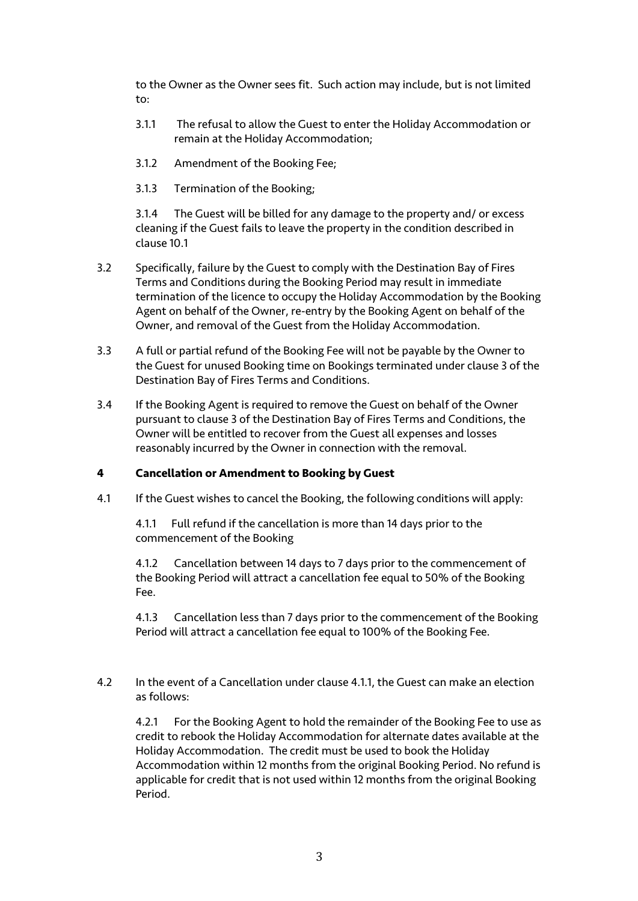to the Owner as the Owner sees fit. Such action may include, but is not limited to:

- 3.1.1 The refusal to allow the Guest to enter the Holiday Accommodation or remain at the Holiday Accommodation;
- 3.1.2 Amendment of the Booking Fee;
- 3.1.3 Termination of the Booking;

3.1.4 The Guest will be billed for any damage to the property and/ or excess cleaning if the Guest fails to leave the property in the condition described in clause 10.1

- 3.2 Specifically, failure by the Guest to comply with the Destination Bay of Fires Terms and Conditions during the Booking Period may result in immediate termination of the licence to occupy the Holiday Accommodation by the Booking Agent on behalf of the Owner, re-entry by the Booking Agent on behalf of the Owner, and removal of the Guest from the Holiday Accommodation.
- 3.3 A full or partial refund of the Booking Fee will not be payable by the Owner to the Guest for unused Booking time on Bookings terminated under clause 3 of the Destination Bay of Fires Terms and Conditions.
- 3.4 If the Booking Agent is required to remove the Guest on behalf of the Owner pursuant to clause 3 of the Destination Bay of Fires Terms and Conditions, the Owner will be entitled to recover from the Guest all expenses and losses reasonably incurred by the Owner in connection with the removal.

### **4 Cancellation or Amendment to Booking by Guest**

4.1 If the Guest wishes to cancel the Booking, the following conditions will apply:

4.1.1 Full refund if the cancellation is more than 14 days prior to the commencement of the Booking

4.1.2 Cancellation between 14 days to 7 days prior to the commencement of the Booking Period will attract a cancellation fee equal to 50% of the Booking Fee.

4.1.3 Cancellation less than 7 days prior to the commencement of the Booking Period will attract a cancellation fee equal to 100% of the Booking Fee.

4.2 In the event of a Cancellation under clause 4.1.1, the Guest can make an election as follows:

4.2.1 For the Booking Agent to hold the remainder of the Booking Fee to use as credit to rebook the Holiday Accommodation for alternate dates available at the Holiday Accommodation. The credit must be used to book the Holiday Accommodation within 12 months from the original Booking Period. No refund is applicable for credit that is not used within 12 months from the original Booking Period.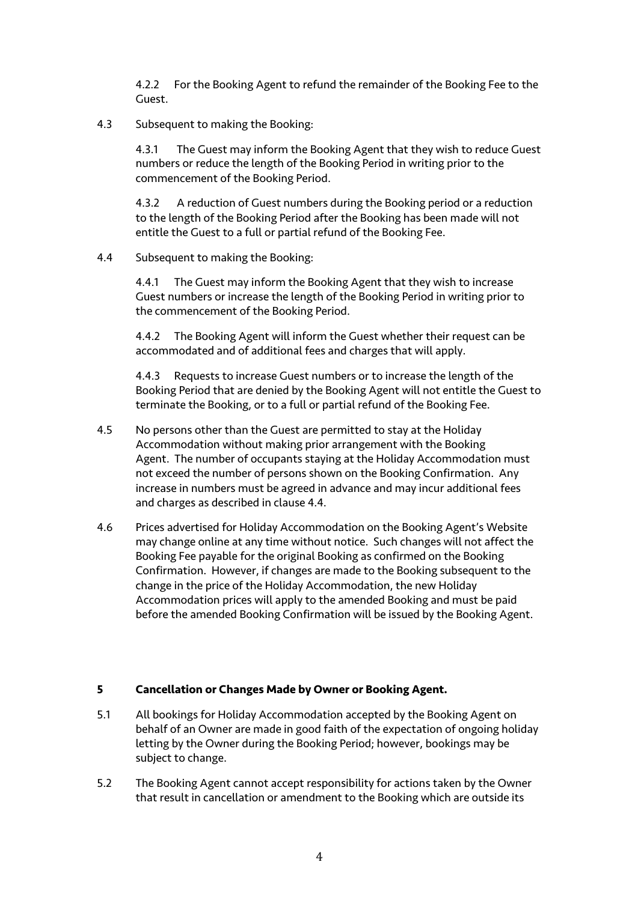4.2.2 For the Booking Agent to refund the remainder of the Booking Fee to the Guest.

#### 4.3 Subsequent to making the Booking:

4.3.1 The Guest may inform the Booking Agent that they wish to reduce Guest numbers or reduce the length of the Booking Period in writing prior to the commencement of the Booking Period.

4.3.2 A reduction of Guest numbers during the Booking period or a reduction to the length of the Booking Period after the Booking has been made will not entitle the Guest to a full or partial refund of the Booking Fee.

### 4.4 Subsequent to making the Booking:

4.4.1 The Guest may inform the Booking Agent that they wish to increase Guest numbers or increase the length of the Booking Period in writing prior to the commencement of the Booking Period.

4.4.2 The Booking Agent will inform the Guest whether their request can be accommodated and of additional fees and charges that will apply.

4.4.3 Requests to increase Guest numbers or to increase the length of the Booking Period that are denied by the Booking Agent will not entitle the Guest to terminate the Booking, or to a full or partial refund of the Booking Fee.

- 4.5 No persons other than the Guest are permitted to stay at the Holiday Accommodation without making prior arrangement with the Booking Agent. The number of occupants staying at the Holiday Accommodation must not exceed the number of persons shown on the Booking Confirmation. Any increase in numbers must be agreed in advance and may incur additional fees and charges as described in clause 4.4.
- 4.6 Prices advertised for Holiday Accommodation on the Booking Agent's Website may change online at any time without notice. Such changes will not affect the Booking Fee payable for the original Booking as confirmed on the Booking Confirmation. However, if changes are made to the Booking subsequent to the change in the price of the Holiday Accommodation, the new Holiday Accommodation prices will apply to the amended Booking and must be paid before the amended Booking Confirmation will be issued by the Booking Agent.

### **5 Cancellation or Changes Made by Owner or Booking Agent.**

- 5.1 All bookings for Holiday Accommodation accepted by the Booking Agent on behalf of an Owner are made in good faith of the expectation of ongoing holiday letting by the Owner during the Booking Period; however, bookings may be subject to change.
- 5.2 The Booking Agent cannot accept responsibility for actions taken by the Owner that result in cancellation or amendment to the Booking which are outside its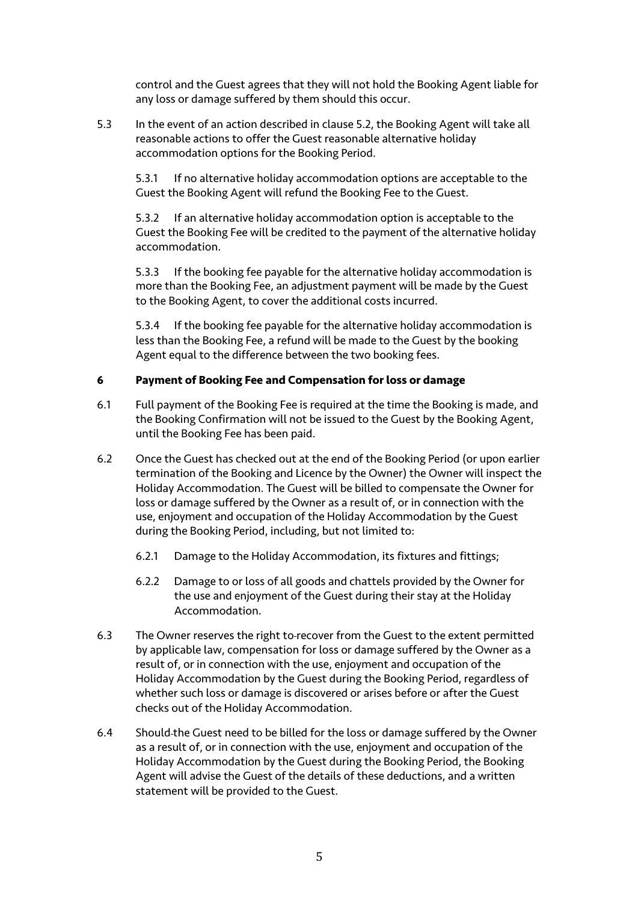control and the Guest agrees that they will not hold the Booking Agent liable for any loss or damage suffered by them should this occur.

5.3 In the event of an action described in clause 5.2, the Booking Agent will take all reasonable actions to offer the Guest reasonable alternative holiday accommodation options for the Booking Period.

5.3.1 If no alternative holiday accommodation options are acceptable to the Guest the Booking Agent will refund the Booking Fee to the Guest.

5.3.2 If an alternative holiday accommodation option is acceptable to the Guest the Booking Fee will be credited to the payment of the alternative holiday accommodation.

5.3.3 If the booking fee payable for the alternative holiday accommodation is more than the Booking Fee, an adjustment payment will be made by the Guest to the Booking Agent, to cover the additional costs incurred.

5.3.4 If the booking fee payable for the alternative holiday accommodation is less than the Booking Fee, a refund will be made to the Guest by the booking Agent equal to the difference between the two booking fees.

## **6 Payment of Booking Fee and Compensation for loss or damage**

- 6.1 Full payment of the Booking Fee is required at the time the Booking is made, and the Booking Confirmation will not be issued to the Guest by the Booking Agent, until the Booking Fee has been paid.
- 6.2 Once the Guest has checked out at the end of the Booking Period (or upon earlier termination of the Booking and Licence by the Owner) the Owner will inspect the Holiday Accommodation. The Guest will be billed to compensate the Owner for loss or damage suffered by the Owner as a result of, or in connection with the use, enjoyment and occupation of the Holiday Accommodation by the Guest during the Booking Period, including, but not limited to:
	- 6.2.1 Damage to the Holiday Accommodation, its fixtures and fittings;
	- 6.2.2 Damage to or loss of all goods and chattels provided by the Owner for the use and enjoyment of the Guest during their stay at the Holiday Accommodation.
- 6.3 The Owner reserves the right to recover from the Guest to the extent permitted by applicable law, compensation for loss or damage suffered by the Owner as a result of, or in connection with the use, enjoyment and occupation of the Holiday Accommodation by the Guest during the Booking Period, regardless of whether such loss or damage is discovered or arises before or after the Guest checks out of the Holiday Accommodation.
- 6.4 Should the Guest need to be billed for the loss or damage suffered by the Owner as a result of, or in connection with the use, enjoyment and occupation of the Holiday Accommodation by the Guest during the Booking Period, the Booking Agent will advise the Guest of the details of these deductions, and a written statement will be provided to the Guest.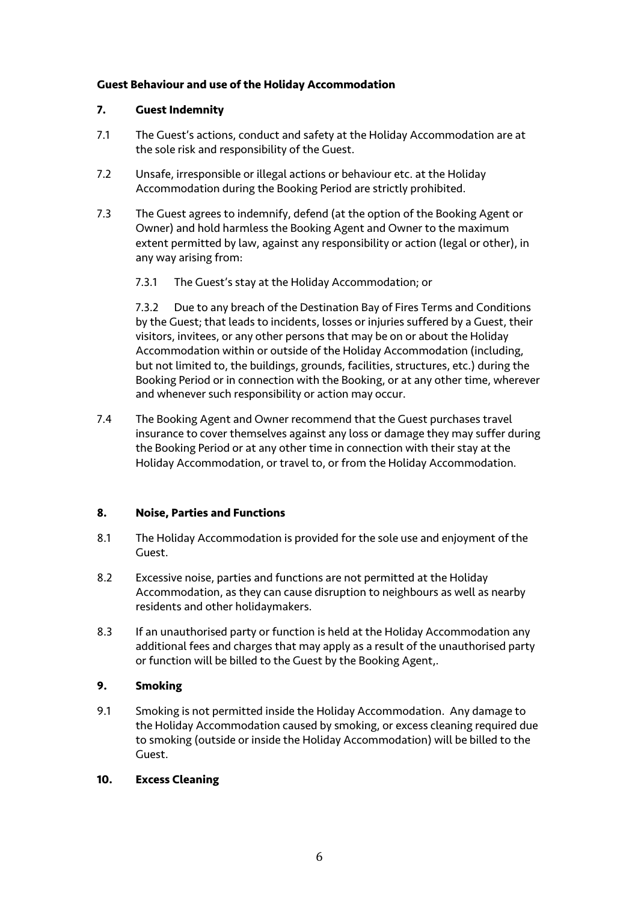## **Guest Behaviour and use of the Holiday Accommodation**

## **7. Guest Indemnity**

- 7.1 The Guest's actions, conduct and safety at the Holiday Accommodation are at the sole risk and responsibility of the Guest.
- 7.2 Unsafe, irresponsible or illegal actions or behaviour etc. at the Holiday Accommodation during the Booking Period are strictly prohibited.
- 7.3 The Guest agrees to indemnify, defend (at the option of the Booking Agent or Owner) and hold harmless the Booking Agent and Owner to the maximum extent permitted by law, against any responsibility or action (legal or other), in any way arising from:
	- 7.3.1 The Guest's stay at the Holiday Accommodation; or

7.3.2 Due to any breach of the Destination Bay of Fires Terms and Conditions by the Guest; that leads to incidents, losses or injuries suffered by a Guest, their visitors, invitees, or any other persons that may be on or about the Holiday Accommodation within or outside of the Holiday Accommodation (including, but not limited to, the buildings, grounds, facilities, structures, etc.) during the Booking Period or in connection with the Booking, or at any other time, wherever and whenever such responsibility or action may occur.

7.4 The Booking Agent and Owner recommend that the Guest purchases travel insurance to cover themselves against any loss or damage they may suffer during the Booking Period or at any other time in connection with their stay at the Holiday Accommodation, or travel to, or from the Holiday Accommodation.

# **8. Noise, Parties and Functions**

- 8.1 The Holiday Accommodation is provided for the sole use and enjoyment of the Guest.
- 8.2 Excessive noise, parties and functions are not permitted at the Holiday Accommodation, as they can cause disruption to neighbours as well as nearby residents and other holidaymakers.
- 8.3 If an unauthorised party or function is held at the Holiday Accommodation any additional fees and charges that may apply as a result of the unauthorised party or function will be billed to the Guest by the Booking Agent,.

# **9. Smoking**

9.1 Smoking is not permitted inside the Holiday Accommodation. Any damage to the Holiday Accommodation caused by smoking, or excess cleaning required due to smoking (outside or inside the Holiday Accommodation) will be billed to the Guest.

### **10. Excess Cleaning**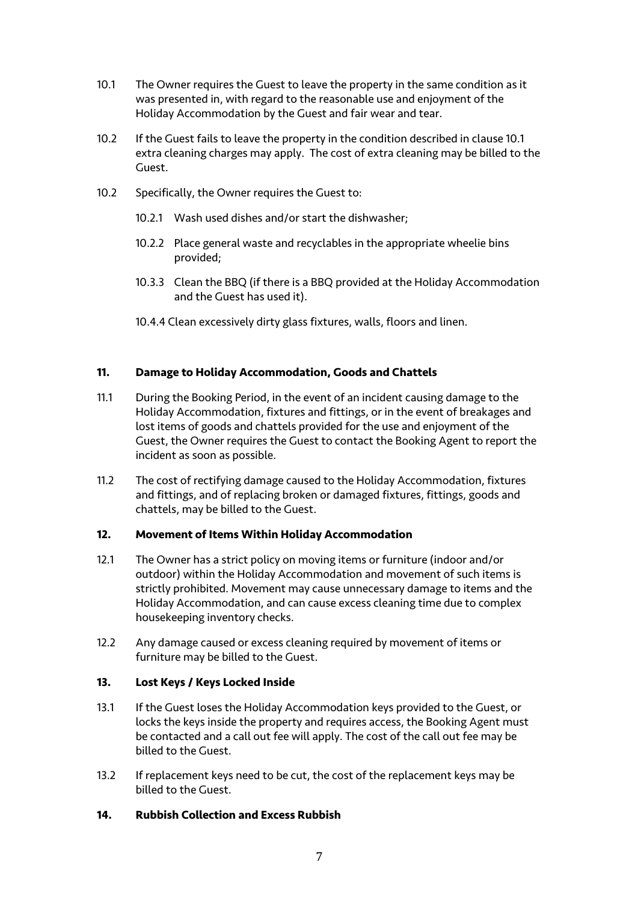- 10.1 The Owner requires the Guest to leave the property in the same condition as it was presented in, with regard to the reasonable use and enjoyment of the Holiday Accommodation by the Guest and fair wear and tear.
- 10.2 If the Guest fails to leave the property in the condition described in clause 10.1 extra cleaning charges may apply. The cost of extra cleaning may be billed to the Guest.
- 10.2 Specifically, the Owner requires the Guest to:
	- 10.2.1 Wash used dishes and/or start the dishwasher;
	- 10.2.2 Place general waste and recyclables in the appropriate wheelie bins provided;
	- 10.3.3 Clean the BBQ (if there is a BBQ provided at the Holiday Accommodation and the Guest has used it).
	- 10.4.4 Clean excessively dirty glass fixtures, walls, floors and linen.

## **11. Damage to Holiday Accommodation, Goods and Chattels**

- 11.1 During the Booking Period, in the event of an incident causing damage to the Holiday Accommodation, fixtures and fittings, or in the event of breakages and lost items of goods and chattels provided for the use and enjoyment of the Guest, the Owner requires the Guest to contact the Booking Agent to report the incident as soon as possible.
- 11.2 The cost of rectifying damage caused to the Holiday Accommodation, fixtures and fittings, and of replacing broken or damaged fixtures, fittings, goods and chattels, may be billed to the Guest.

## **12. Movement of Items Within Holiday Accommodation**

- 12.1 The Owner has a strict policy on moving items or furniture (indoor and/or outdoor) within the Holiday Accommodation and movement of such items is strictly prohibited. Movement may cause unnecessary damage to items and the Holiday Accommodation, and can cause excess cleaning time due to complex housekeeping inventory checks.
- 12.2 Any damage caused or excess cleaning required by movement of items or furniture may be billed to the Guest.

### **13. Lost Keys / Keys Locked Inside**

- 13.1 If the Guest loses the Holiday Accommodation keys provided to the Guest, or locks the keys inside the property and requires access, the Booking Agent must be contacted and a call out fee will apply. The cost of the call out fee may be billed to the Guest.
- 13.2 If replacement keys need to be cut, the cost of the replacement keys may be billed to the Guest.

## **14. Rubbish Collection and Excess Rubbish**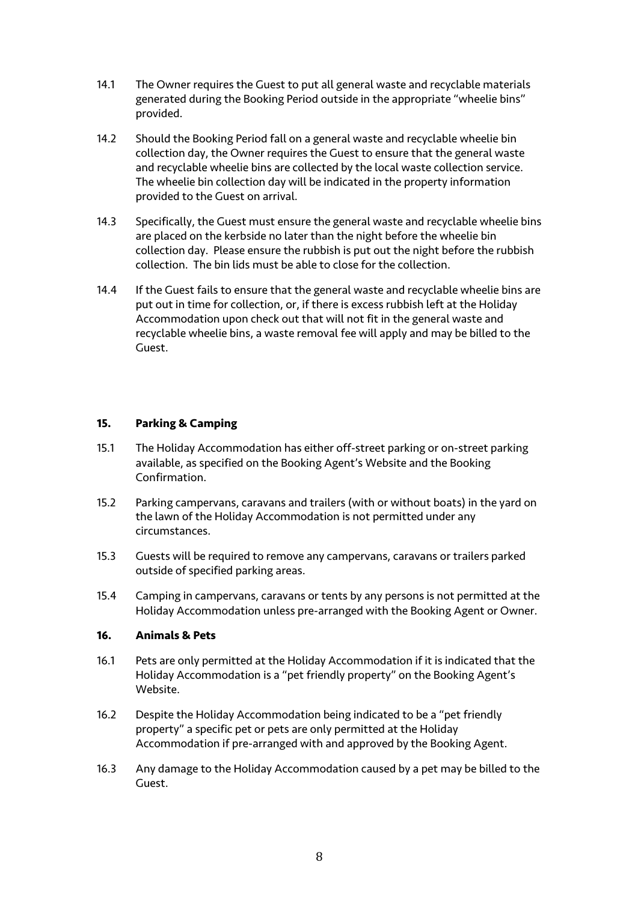- 14.1 The Owner requires the Guest to put all general waste and recyclable materials generated during the Booking Period outside in the appropriate "wheelie bins" provided.
- 14.2 Should the Booking Period fall on a general waste and recyclable wheelie bin collection day, the Owner requires the Guest to ensure that the general waste and recyclable wheelie bins are collected by the local waste collection service. The wheelie bin collection day will be indicated in the property information provided to the Guest on arrival.
- 14.3 Specifically, the Guest must ensure the general waste and recyclable wheelie bins are placed on the kerbside no later than the night before the wheelie bin collection day. Please ensure the rubbish is put out the night before the rubbish collection. The bin lids must be able to close for the collection.
- 14.4 If the Guest fails to ensure that the general waste and recyclable wheelie bins are put out in time for collection, or, if there is excess rubbish left at the Holiday Accommodation upon check out that will not fit in the general waste and recyclable wheelie bins, a waste removal fee will apply and may be billed to the Guest.

### **15. Parking & Camping**

- 15.1 The Holiday Accommodation has either off-street parking or on-street parking available, as specified on the Booking Agent's Website and the Booking Confirmation.
- 15.2 Parking campervans, caravans and trailers (with or without boats) in the yard on the lawn of the Holiday Accommodation is not permitted under any circumstances.
- 15.3 Guests will be required to remove any campervans, caravans or trailers parked outside of specified parking areas.
- 15.4 Camping in campervans, caravans or tents by any persons is not permitted at the Holiday Accommodation unless pre-arranged with the Booking Agent or Owner.

### **16. Animals & Pets**

- 16.1 Pets are only permitted at the Holiday Accommodation if it is indicated that the Holiday Accommodation is a "pet friendly property" on the Booking Agent's Website.
- 16.2 Despite the Holiday Accommodation being indicated to be a "pet friendly property" a specific pet or pets are only permitted at the Holiday Accommodation if pre-arranged with and approved by the Booking Agent.
- 16.3 Any damage to the Holiday Accommodation caused by a pet may be billed to the Guest.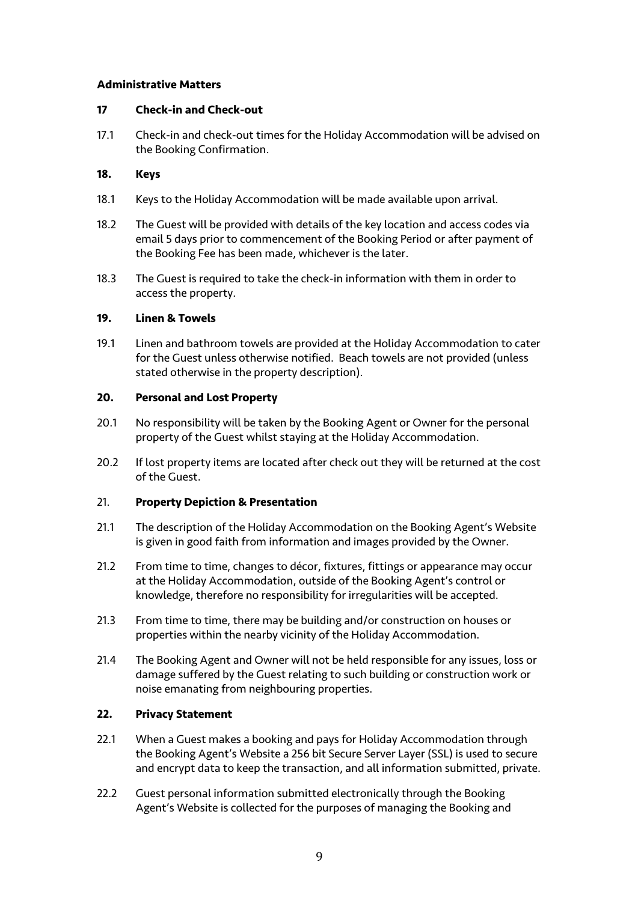### **Administrative Matters**

#### **17 Check-in and Check-out**

17.1 Check-in and check-out times for the Holiday Accommodation will be advised on the Booking Confirmation.

### **18. Keys**

- 18.1 Keys to the Holiday Accommodation will be made available upon arrival.
- 18.2 The Guest will be provided with details of the key location and access codes via email 5 days prior to commencement of the Booking Period or after payment of the Booking Fee has been made, whichever is the later.
- 18.3 The Guest is required to take the check-in information with them in order to access the property.

#### **19. Linen & Towels**

19.1 Linen and bathroom towels are provided at the Holiday Accommodation to cater for the Guest unless otherwise notified. Beach towels are not provided (unless stated otherwise in the property description).

#### **20. Personal and Lost Property**

- 20.1 No responsibility will be taken by the Booking Agent or Owner for the personal property of the Guest whilst staying at the Holiday Accommodation.
- 20.2 If lost property items are located after check out they will be returned at the cost of the Guest.

### 21. **Property Depiction & Presentation**

- 21.1 The description of the Holiday Accommodation on the Booking Agent's Website is given in good faith from information and images provided by the Owner.
- 21.2 From time to time, changes to décor, fixtures, fittings or appearance may occur at the Holiday Accommodation, outside of the Booking Agent's control or knowledge, therefore no responsibility for irregularities will be accepted.
- 21.3 From time to time, there may be building and/or construction on houses or properties within the nearby vicinity of the Holiday Accommodation.
- 21.4 The Booking Agent and Owner will not be held responsible for any issues, loss or damage suffered by the Guest relating to such building or construction work or noise emanating from neighbouring properties.

### **22. Privacy Statement**

- 22.1 When a Guest makes a booking and pays for Holiday Accommodation through the Booking Agent's Website a 256 bit Secure Server Layer (SSL) is used to secure and encrypt data to keep the transaction, and all information submitted, private.
- 22.2 Guest personal information submitted electronically through the Booking Agent's Website is collected for the purposes of managing the Booking and